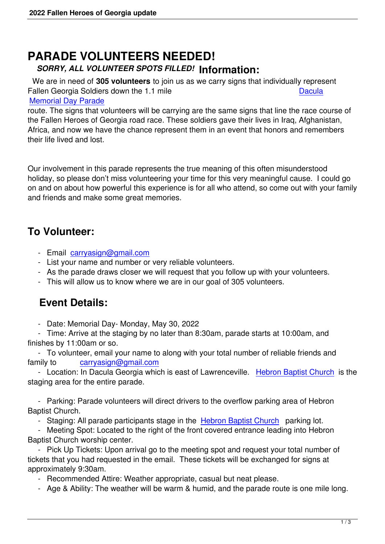## **PARADE VOLUNTEERS NEEDED!** *SORRY, ALL VOLUNTEER SPOTS FILLED!* **Information:**

 We are in need of **305 volunteers** to join us as we carry signs that individually represent Fallen Georgia Soldiers down the 1.1 mile Dacula Memorial Day Parade

route. The signs that volunteers will be carrying are the same signs that line the race course of the Fallen Heroes of Georgia road race. These soldiers gave their lives in Iraq, [Afghan](https://www.daculamemorialday.com/)istan, [Africa, and now we hav](https://www.daculamemorialday.com/)e the chance represent them in an event that honors and remembers their life lived and lost.

Our involvement in this parade represents the true meaning of this often misunderstood holiday, so please don't miss volunteering your time for this very meaningful cause. I could go on and on about how powerful this experience is for all who attend, so come out with your family and friends and make some great memories.

## **To Volunteer:**

- Email carryasign@gmail.com
- List your name and number or very reliable volunteers.
- As the parade draws closer we will request that you follow up with your volunteers.
- This w[ill allow us to know whe](mailto:carryasign@gmail.com)re we are in our goal of 305 volunteers.

## **Event Details:**

- Date: Memorial Day- Monday, May 30, 2022

 - Time: Arrive at the staging by no later than 8:30am, parade starts at 10:00am, and finishes by 11:00am or so.

 - To volunteer, email your name to along with your total number of reliable friends and family to carryasign@gmail.com

 - Location: In Dacula Georgia which is east of Lawrenceville. Hebron Baptist Church is the staging area for the entire parade.

 - Parking: [Parade volunteers will d](mailto:carryasign@gmail.com)irect drivers to the overflow [parking area of Hebron](https://www.google.com/maps/place/Hebron+Baptist+Church/@33.998171,-83.9117282,17z/data=!3m1!4b1!4m5!3m4!1s0x88f5c021dddcf9cf:0x643f611c2c64836e!8m2!3d33.998277!4d-83.9090233) Baptist Church.

- Staging: All parade participants stage in the Hebron Baptist Church parking lot.

 - Meeting Spot: Located to the right of the front covered entrance leading into Hebron Baptist Church worship center.

 - Pick Up Tickets: Upon arrival go to the meeti[ng spot and request you](https://www.google.com/maps/place/Hebron+Baptist+Church/@33.998171,-83.9117282,17z/data=!3m1!4b1!4m5!3m4!1s0x88f5c021dddcf9cf:0x643f611c2c64836e!8m2!3d33.998277!4d-83.9090233)r total number of tickets that you had requested in the email. These tickets will be exchanged for signs at approximately 9:30am.

- Recommended Attire: Weather appropriate, casual but neat please.

- Age & Ability: The weather will be warm & humid, and the parade route is one mile long.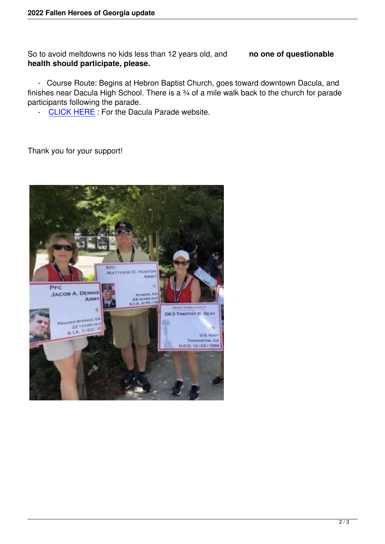So to avoid meltdowns no kids less than 12 years old, and **no one of questionable health should participate, please.**

 - Course Route: Begins at Hebron Baptist Church, goes toward downtown Dacula, and finishes near Dacula High School. There is a ¾ of a mile walk back to the church for parade participants following the parade.

- CLICK HERE : For the Dacula Parade website.

Than[k you for your s](https://www.daculamemorialday.com/)upport!